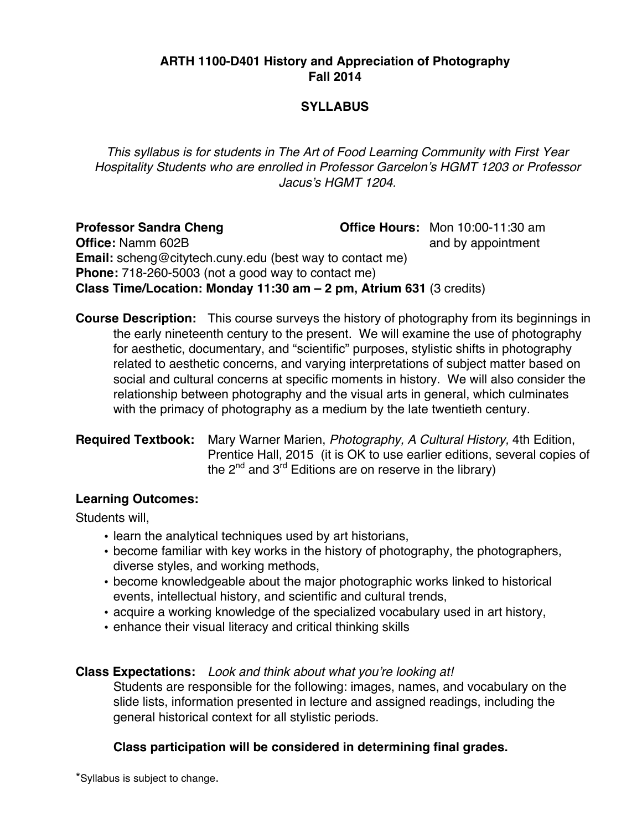#### **ARTH 1100-D401 History and Appreciation of Photography Fall 2014**

## **SYLLABUS**

*This syllabus is for students in The Art of Food Learning Community with First Year Hospitality Students who are enrolled in Professor Garcelon*'*s HGMT 1203 or Professor Jacus*'*s HGMT 1204.*

**Professor Sandra Cheng Office Hours:** Mon 10:00-11:30 am **Office:** Namm 602B **and by appointment Email:** scheng@citytech.cuny.edu (best way to contact me) **Phone:** 718-260-5003 (not a good way to contact me) **Class Time/Location: Monday 11:30 am – 2 pm, Atrium 631** (3 credits)

**Course Description:** This course surveys the history of photography from its beginnings in the early nineteenth century to the present. We will examine the use of photography for aesthetic, documentary, and "scientific" purposes, stylistic shifts in photography related to aesthetic concerns, and varying interpretations of subject matter based on social and cultural concerns at specific moments in history. We will also consider the relationship between photography and the visual arts in general, which culminates with the primacy of photography as a medium by the late twentieth century.

## **Required Textbook:** Mary Warner Marien, *Photography, A Cultural History,* 4th Edition, Prentice Hall, 2015 (it is OK to use earlier editions, several copies of the  $2^{nd}$  and  $3^{rd}$  Editions are on reserve in the library)

#### **Learning Outcomes:**

Students will,

- learn the analytical techniques used by art historians,
- become familiar with key works in the history of photography, the photographers, diverse styles, and working methods,
- become knowledgeable about the major photographic works linked to historical events, intellectual history, and scientific and cultural trends,
- acquire a working knowledge of the specialized vocabulary used in art history,
- enhance their visual literacy and critical thinking skills

#### **Class Expectations:** *Look and think about what you*'*re looking at!*

Students are responsible for the following: images, names, and vocabulary on the slide lists, information presented in lecture and assigned readings, including the general historical context for all stylistic periods.

## **Class participation will be considered in determining final grades.**

\*Syllabus is subject to change.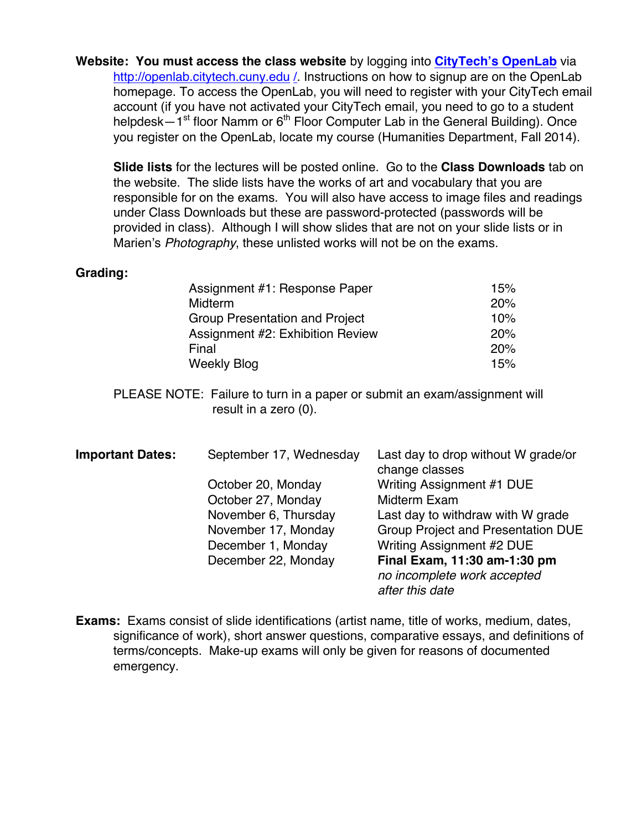**Website: You must access the class website** by logging into **CityTech's OpenLab** via http://openlab.citytech.cuny.edu /. Instructions on how to signup are on the OpenLab homepage. To access the OpenLab, you will need to register with your CityTech email account (if you have not activated your CityTech email, you need to go to a student helpdesk—1<sup>st</sup> floor Namm or  $6<sup>th</sup>$  Floor Computer Lab in the General Building). Once you register on the OpenLab, locate my course (Humanities Department, Fall 2014).

**Slide lists** for the lectures will be posted online. Go to the **Class Downloads** tab on the website. The slide lists have the works of art and vocabulary that you are responsible for on the exams. You will also have access to image files and readings under Class Downloads but these are password-protected (passwords will be provided in class). Although I will show slides that are not on your slide lists or in Marien's *Photography*, these unlisted works will not be on the exams.

#### **Grading:**

| Assignment #1: Response Paper         | 15% |
|---------------------------------------|-----|
| Midterm                               | 20% |
| <b>Group Presentation and Project</b> | 10% |
| Assignment #2: Exhibition Review      | 20% |
| Final                                 | 20% |
| <b>Weekly Blog</b>                    | 15% |

PLEASE NOTE: Failure to turn in a paper or submit an exam/assignment will result in a zero (0).

| <b>Important Dates:</b> | September 17, Wednesday | Last day to drop without W grade/or<br>change classes |
|-------------------------|-------------------------|-------------------------------------------------------|
|                         | October 20, Monday      | Writing Assignment #1 DUE                             |
|                         | October 27, Monday      | Midterm Exam                                          |
|                         | November 6, Thursday    | Last day to withdraw with W grade                     |
|                         | November 17, Monday     | <b>Group Project and Presentation DUE</b>             |
|                         | December 1, Monday      | Writing Assignment #2 DUE                             |
|                         | December 22, Monday     | Final Exam, 11:30 am-1:30 pm                          |
|                         |                         | no incomplete work accepted                           |
|                         |                         | after this date                                       |

**Exams:** Exams consist of slide identifications (artist name, title of works, medium, dates, significance of work), short answer questions, comparative essays, and definitions of terms/concepts. Make-up exams will only be given for reasons of documented emergency.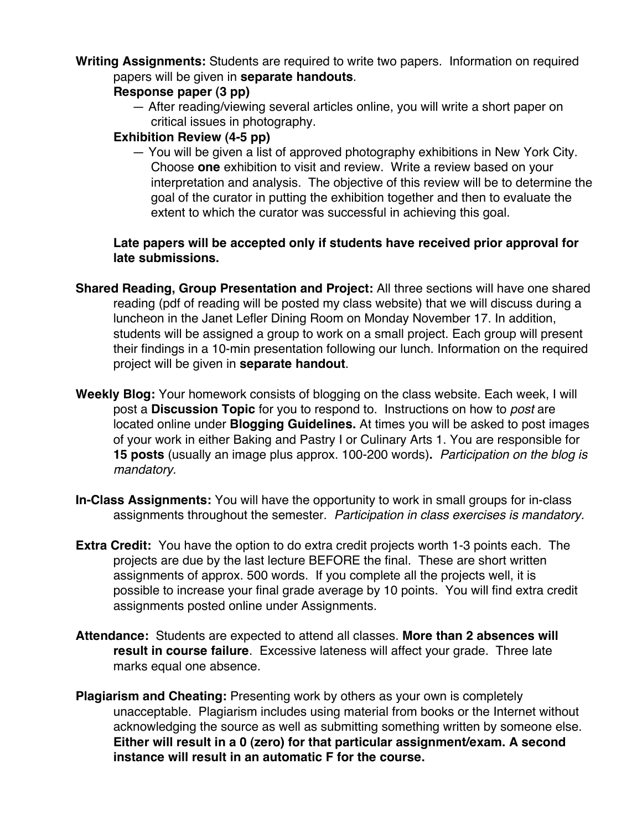**Writing Assignments:** Students are required to write two papers. Information on required papers will be given in **separate handouts**.

## **Response paper (3 pp)**

— After reading/viewing several articles online, you will write a short paper on critical issues in photography.

## **Exhibition Review (4-5 pp)**

— You will be given a list of approved photography exhibitions in New York City. Choose **one** exhibition to visit and review. Write a review based on your interpretation and analysis. The objective of this review will be to determine the goal of the curator in putting the exhibition together and then to evaluate the extent to which the curator was successful in achieving this goal.

## **Late papers will be accepted only if students have received prior approval for late submissions.**

- **Shared Reading, Group Presentation and Project:** All three sections will have one shared reading (pdf of reading will be posted my class website) that we will discuss during a luncheon in the Janet Lefler Dining Room on Monday November 17. In addition, students will be assigned a group to work on a small project. Each group will present their findings in a 10-min presentation following our lunch. Information on the required project will be given in **separate handout**.
- **Weekly Blog:** Your homework consists of blogging on the class website. Each week, I will post a **Discussion Topic** for you to respond to. Instructions on how to *post* are located online under **Blogging Guidelines.** At times you will be asked to post images of your work in either Baking and Pastry I or Culinary Arts 1. You are responsible for **15 posts** (usually an image plus approx. 100-200 words)**.** *Participation on the blog is mandatory.*
- **In-Class Assignments:** You will have the opportunity to work in small groups for in-class assignments throughout the semester. *Participation in class exercises is mandatory.*
- **Extra Credit:** You have the option to do extra credit projects worth 1-3 points each. The projects are due by the last lecture BEFORE the final. These are short written assignments of approx. 500 words. If you complete all the projects well, it is possible to increase your final grade average by 10 points. You will find extra credit assignments posted online under Assignments.
- **Attendance:** Students are expected to attend all classes. **More than 2 absences will result in course failure**. Excessive lateness will affect your grade. Three late marks equal one absence.
- **Plagiarism and Cheating:** Presenting work by others as your own is completely unacceptable. Plagiarism includes using material from books or the Internet without acknowledging the source as well as submitting something written by someone else. **Either will result in a 0 (zero) for that particular assignment/exam. A second instance will result in an automatic F for the course.**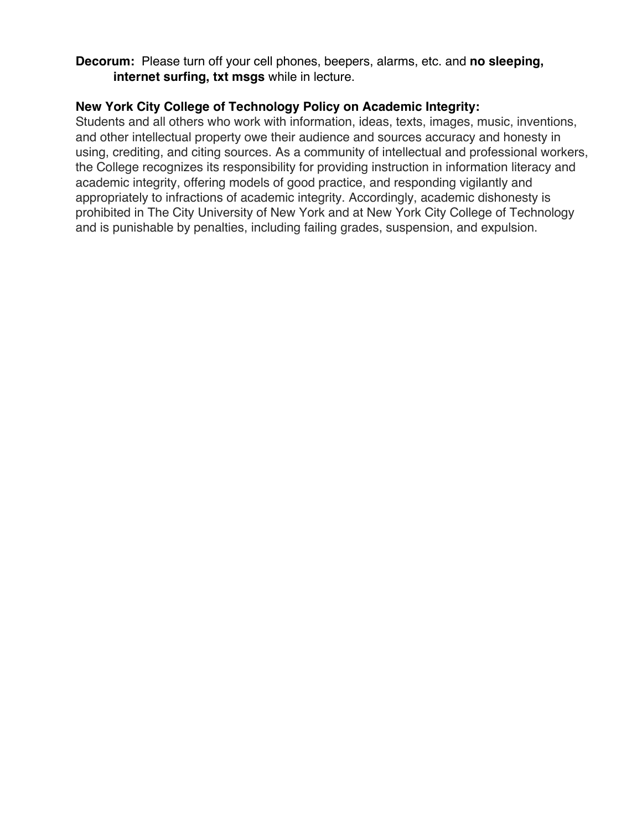**Decorum:** Please turn off your cell phones, beepers, alarms, etc. and **no sleeping, internet surfing, txt msgs** while in lecture.

## **New York City College of Technology Policy on Academic Integrity:**

Students and all others who work with information, ideas, texts, images, music, inventions, and other intellectual property owe their audience and sources accuracy and honesty in using, crediting, and citing sources. As a community of intellectual and professional workers, the College recognizes its responsibility for providing instruction in information literacy and academic integrity, offering models of good practice, and responding vigilantly and appropriately to infractions of academic integrity. Accordingly, academic dishonesty is prohibited in The City University of New York and at New York City College of Technology and is punishable by penalties, including failing grades, suspension, and expulsion.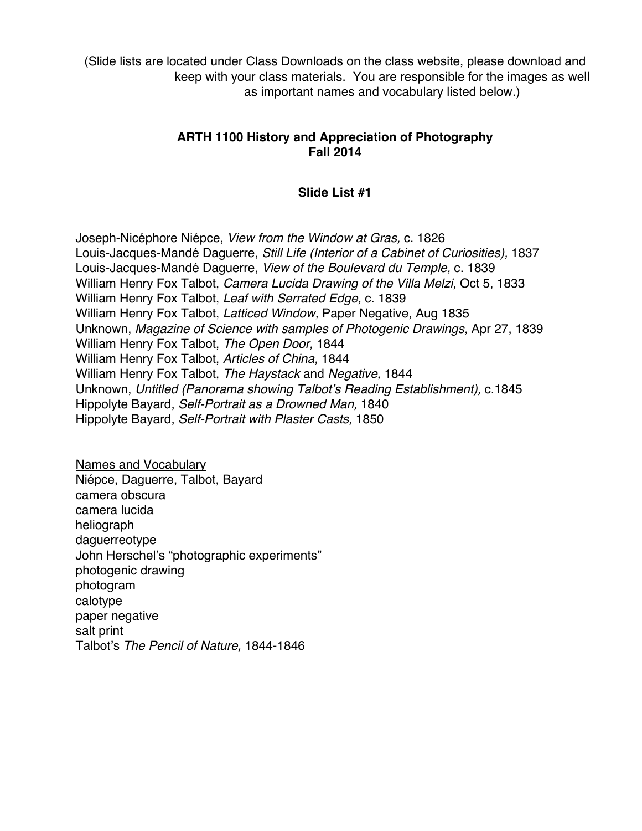(Slide lists are located under Class Downloads on the class website, please download and keep with your class materials. You are responsible for the images as well as important names and vocabulary listed below.)

## **ARTH 1100 History and Appreciation of Photography Fall 2014**

## **Slide List #1**

Joseph-Nicéphore Niépce, *View from the Window at Gras,* c. 1826 Louis-Jacques-Mandé Daguerre, *Still Life (Interior of a Cabinet of Curiosities),* 1837 Louis-Jacques-Mandé Daguerre, *View of the Boulevard du Temple,* c. 1839 William Henry Fox Talbot, *Camera Lucida Drawing of the Villa Melzi,* Oct 5, 1833 William Henry Fox Talbot, *Leaf with Serrated Edge,* c. 1839 William Henry Fox Talbot, *Latticed Window,* Paper Negative*,* Aug 1835 Unknown, *Magazine of Science with samples of Photogenic Drawings,* Apr 27, 1839 William Henry Fox Talbot, *The Open Door,* 1844 William Henry Fox Talbot, *Articles of China,* 1844 William Henry Fox Talbot, *The Haystack* and *Negative,* 1844 Unknown, *Untitled (Panorama showing Talbot*'*s Reading Establishment),* c.1845 Hippolyte Bayard, *Self-Portrait as a Drowned Man,* 1840 Hippolyte Bayard, *Self-Portrait with Plaster Casts,* 1850

Names and Vocabulary Niépce, Daguerre, Talbot, Bayard camera obscura camera lucida heliograph daguerreotype John Herschel's "photographic experiments" photogenic drawing photogram calotype paper negative salt print Talbot's *The Pencil of Nature,* 1844-1846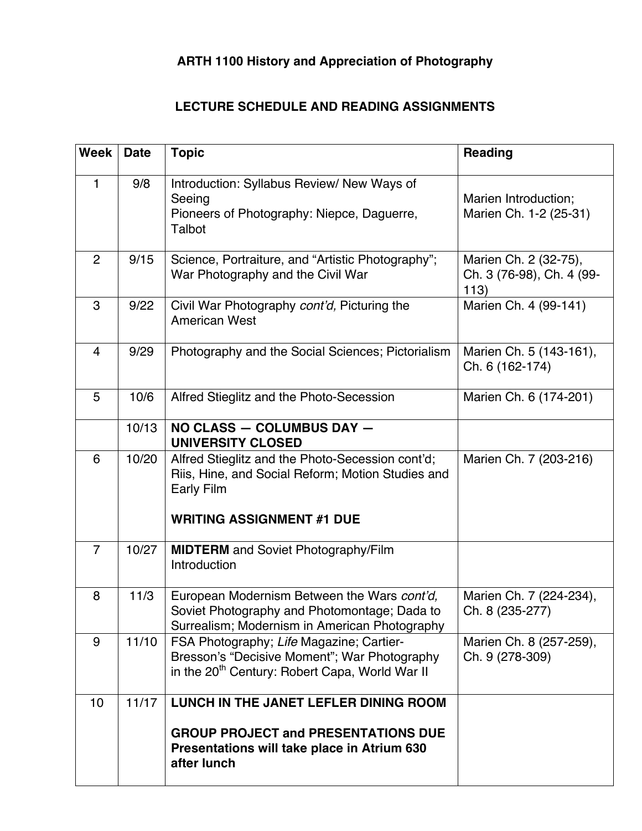# **ARTH 1100 History and Appreciation of Photography**

## **LECTURE SCHEDULE AND READING ASSIGNMENTS**

| <b>Week</b>    | <b>Date</b> | <b>Topic</b>                                                                                                                                            | <b>Reading</b>                                             |
|----------------|-------------|---------------------------------------------------------------------------------------------------------------------------------------------------------|------------------------------------------------------------|
| $\mathbf{1}$   | 9/8         | Introduction: Syllabus Review/ New Ways of<br>Seeing<br>Pioneers of Photography: Niepce, Daguerre,<br>Talbot                                            | Marien Introduction;<br>Marien Ch. 1-2 (25-31)             |
| $\overline{2}$ | 9/15        | Science, Portraiture, and "Artistic Photography";<br>War Photography and the Civil War                                                                  | Marien Ch. 2 (32-75),<br>Ch. 3 (76-98), Ch. 4 (99-<br>113) |
| 3              | 9/22        | Civil War Photography cont'd, Picturing the<br><b>American West</b>                                                                                     | Marien Ch. 4 (99-141)                                      |
| 4              | 9/29        | Photography and the Social Sciences; Pictorialism                                                                                                       | Marien Ch. 5 (143-161),<br>Ch. 6 (162-174)                 |
| 5              | 10/6        | Alfred Stieglitz and the Photo-Secession                                                                                                                | Marien Ch. 6 (174-201)                                     |
|                | 10/13       | NO CLASS - COLUMBUS DAY -<br><b>UNIVERSITY CLOSED</b>                                                                                                   |                                                            |
| 6              | 10/20       | Alfred Stieglitz and the Photo-Secession cont'd;<br>Riis, Hine, and Social Reform; Motion Studies and<br>Early Film<br><b>WRITING ASSIGNMENT #1 DUE</b> | Marien Ch. 7 (203-216)                                     |
| $\overline{7}$ | 10/27       | <b>MIDTERM</b> and Soviet Photography/Film<br>Introduction                                                                                              |                                                            |
| 8              | 11/3        | European Modernism Between the Wars cont'd,<br>Soviet Photography and Photomontage; Dada to<br>Surrealism; Modernism in American Photography            | Marien Ch. 7 (224-234),<br>Ch. 8 (235-277)                 |
| 9              | 11/10       | FSA Photography; Life Magazine; Cartier-<br>Bresson's "Decisive Moment"; War Photography<br>in the 20 <sup>th</sup> Century: Robert Capa, World War II  | Marien Ch. 8 (257-259),<br>Ch. 9 (278-309)                 |
| 10             | 11/17       | LUNCH IN THE JANET LEFLER DINING ROOM<br><b>GROUP PROJECT and PRESENTATIONS DUE</b><br>Presentations will take place in Atrium 630<br>after lunch       |                                                            |